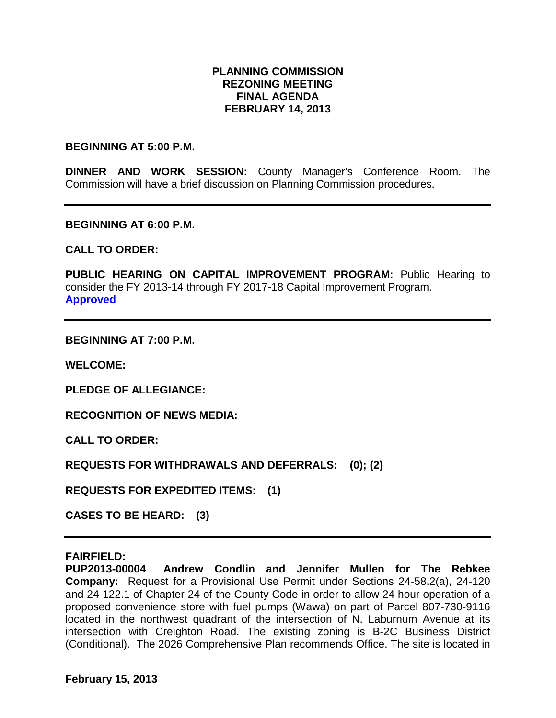# **PLANNING COMMISSION REZONING MEETING FINAL AGENDA FEBRUARY 14, 2013**

#### **BEGINNING AT 5:00 P.M.**

**DINNER AND WORK SESSION:** County Manager's Conference Room. The Commission will have a brief discussion on Planning Commission procedures.

**BEGINNING AT 6:00 P.M.**

**CALL TO ORDER:**

PUBLIC HEARING ON CAPITAL IMPROVEMENT PROGRAM: Public Hearing to consider the FY 2013-14 through FY 2017-18 Capital Improvement Program. **Approved**

**BEGINNING AT 7:00 P.M.**

**WELCOME:**

**PLEDGE OF ALLEGIANCE:**

**RECOGNITION OF NEWS MEDIA:**

**CALL TO ORDER:**

**REQUESTS FOR WITHDRAWALS AND DEFERRALS: (0); (2)**

**REQUESTS FOR EXPEDITED ITEMS: (1)**

**CASES TO BE HEARD: (3)**

#### **FAIRFIELD:**

**PUP2013-00004 Andrew Condlin and Jennifer Mullen for The Rebkee Company:** Request for a Provisional Use Permit under Sections 24-58.2(a), 24-120 and 24-122.1 of Chapter 24 of the County Code in order to allow 24 hour operation of a proposed convenience store with fuel pumps (Wawa) on part of Parcel 807-730-9116 located in the northwest quadrant of the intersection of N. Laburnum Avenue at its intersection with Creighton Road. The existing zoning is B-2C Business District (Conditional). The 2026 Comprehensive Plan recommends Office. The site is located in

**February 15, 2013**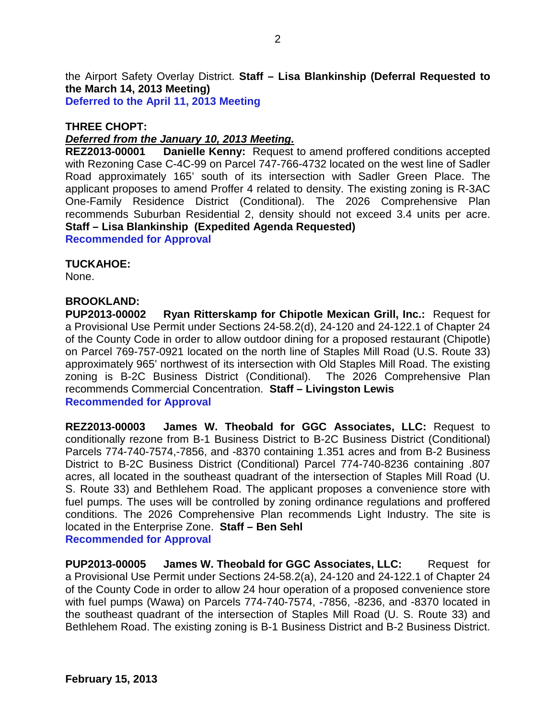the Airport Safety Overlay District. **Staff – Lisa Blankinship (Deferral Requested to the March 14, 2013 Meeting) Deferred to the April 11, 2013 Meeting**

### **THREE CHOPT:**

## *Deferred from the January 10, 2013 Meeting.*

**REZ2013-00001 Danielle Kenny:** Request to amend proffered conditions accepted with Rezoning Case C-4C-99 on Parcel 747-766-4732 located on the west line of Sadler Road approximately 165' south of its intersection with Sadler Green Place. The applicant proposes to amend Proffer 4 related to density. The existing zoning is R-3AC One-Family Residence District (Conditional). The 2026 Comprehensive Plan recommends Suburban Residential 2, density should not exceed 3.4 units per acre. **Staff – Lisa Blankinship (Expedited Agenda Requested)**

**Recommended for Approval**

## **TUCKAHOE:**

None.

#### **BROOKLAND:**

**PUP2013-00002 Ryan Ritterskamp for Chipotle Mexican Grill, Inc.:** Request for a Provisional Use Permit under Sections 24-58.2(d), 24-120 and 24-122.1 of Chapter 24 of the County Code in order to allow outdoor dining for a proposed restaurant (Chipotle) on Parcel 769-757-0921 located on the north line of Staples Mill Road (U.S. Route 33) approximately 965' northwest of its intersection with Old Staples Mill Road. The existing zoning is B-2C Business District (Conditional). The 2026 Comprehensive Plan recommends Commercial Concentration. **Staff – Livingston Lewis Recommended for Approval**

**REZ2013-00003 James W. Theobald for GGC Associates, LLC:** Request to conditionally rezone from B-1 Business District to B-2C Business District (Conditional) Parcels 774-740-7574,-7856, and -8370 containing 1.351 acres and from B-2 Business District to B-2C Business District (Conditional) Parcel 774-740-8236 containing .807 acres, all located in the southeast quadrant of the intersection of Staples Mill Road (U. S. Route 33) and Bethlehem Road. The applicant proposes a convenience store with fuel pumps. The uses will be controlled by zoning ordinance regulations and proffered conditions. The 2026 Comprehensive Plan recommends Light Industry. The site is located in the Enterprise Zone. **Staff – Ben Sehl Recommended for Approval**

**PUP2013-00005 James W. Theobald for GGC Associates, LLC:** Request for a Provisional Use Permit under Sections 24-58.2(a), 24-120 and 24-122.1 of Chapter 24 of the County Code in order to allow 24 hour operation of a proposed convenience store with fuel pumps (Wawa) on Parcels 774-740-7574, -7856, -8236, and -8370 located in the southeast quadrant of the intersection of Staples Mill Road (U. S. Route 33) and Bethlehem Road. The existing zoning is B-1 Business District and B-2 Business District.